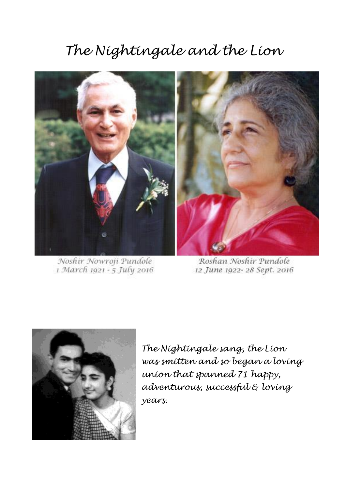## *The Nightingale and the Lion*



Noshir Nowroji Pundole 1 March 1921 - 5 July 2016

Roshan Noshir Pundole 12 June 1922- 28 Sept. 2016



*The Nightingale sang, the Lion was smitten and so began a loving union that spanned 71 happy, adventurous, successful & loving years.*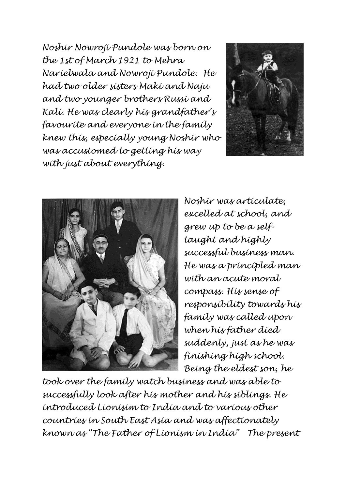*Noshir Nowroji Pundole was born on the 1st of March 1921 to Mehra Narielwala and Nowroji Pundole. He had two older sisters Maki and Naju and two younger brothers Russi and Kali. He was clearly his grandfather"s favourite and everyone in the family knew this, especially young Noshir who was accustomed to getting his way with just about everything.*





*Noshir was articulate, excelled at school, and grew up to be a selftaught and highly successful business man. He was a principled man with an acute moral compass. His sense of responsibility towards his family was called upon when his father died suddenly, just as he was finishing high school. Being the eldest son, he* 

*took over the family watch business and was able to successfully look after his mother and his siblings. He introduced Lionisim to India and to various other countries in South East Asia and was affectionately known as "The Father of Lionism in India" The present*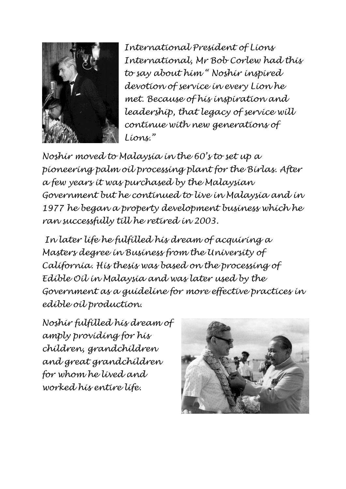

*International President of Lions International, Mr Bob Corlew had this to say about him " Noshir inspired devotion of service in every Lion he met. Because of his inspiration and leadership, that legacy of service will continue with new generations of Lions."*

*Noshir moved to Malaysia in the 60"s to set up a pioneering palm oil processing plant for the Birlas. After a few years it was purchased by the Malaysian Government but he continued to live in Malaysia and in 1977 he began a property development business which he ran successfully till he retired in 2003.* 

*In later life he fulfilled his dream of acquiring a Masters degree in Business from the University of California. His thesis was based on the processing of Edible Oil in Malaysia and was later used by the Government as a guideline for more effective practices in edible oil production.*

*Noshir fulfilled his dream of amply providing for his children, grandchildren and great grandchildren for whom he lived and worked his entire life.*

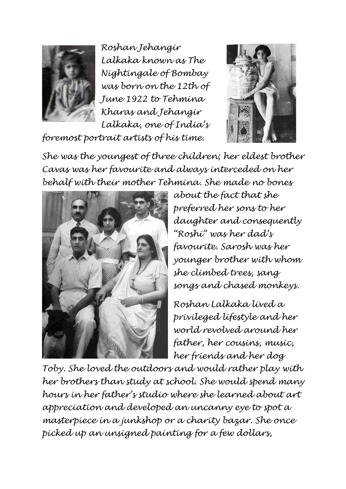

*Roshan Jehangir Lalkaka known as The Nightingale of Bombay was born on the 12th of June 1922 to Tehmina Kharas and Jehangir Lalkaka, one of India"s foremost portrait artists of his time.* 



*She was the youngest of three children; her eldest brother Cavas was her favourite and always interceded on her behalf with their mother Tehmina. She made no bones*



*about the fact that she preferred her sons to her daughter and consequently "Roshi" was her dad"s favourite. Sarosh was her younger brother with whom she climbed trees, sang songs and chased monkeys.* 

*Roshan Lalkaka lived a privileged lifestyle and her world revolved around her father, her cousins, music, her friends and her dog* 

*Toby. She loved the outdoors and would rather play with her brothers than study at school. She would spend many hours in her father"s studio where she learned about art appreciation and developed an uncanny eye to spot a masterpiece in a junkshop or a charity bazar. She once picked up an unsigned painting for a few dollars,*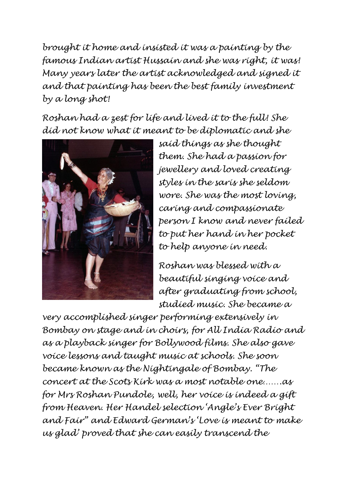*brought it home and insisted it was a painting by the famous Indian artist Hussain and she was right, it was! Many years later the artist acknowledged and signed it and that painting has been the best family investment by a long shot!*

*Roshan had a zest for life and lived it to the full! She did not know what it meant to be diplomatic and she* 



*said things as she thought them. She had a passion for jewellery and loved creating styles in the saris she seldom wore. She was the most loving, caring and compassionate person I know and never failed to put her hand in her pocket to help anyone in need.* 

*Roshan was blessed with a beautiful singing voice and after graduating from school, studied music. She became a* 

*very accomplished singer performing extensively in Bombay on stage and in choirs, for All India Radio and as a playback singer for Bollywood films. She also gave voice lessons and taught music at schools. She soon became known as the Nightingale of Bombay. "The concert at the Scots Kirk was a most notable one…….as for Mrs Roshan Pundole, well, her voice is indeed a gift from Heaven. Her Handel selection "Angle"s Ever Bright and Fair" and Edward German"s "Love is meant to make us glad" proved that she can easily transcend the*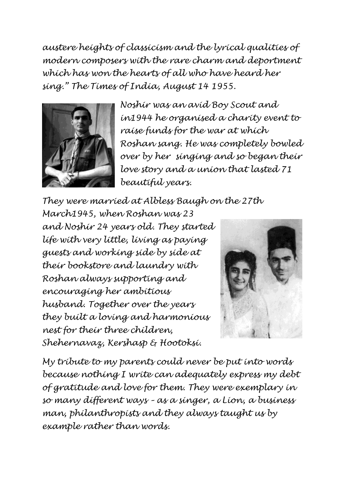*austere heights of classicism and the lyrical qualities of modern composers with the rare charm and deportment which has won the hearts of all who have heard her sing." The Times of India, August 14 1955.*



*Noshir was an avid Boy Scout and in1944 he organised a charity event to raise funds for the war at which Roshan sang. He was completely bowled over by her singing and so began their love story and a union that lasted 71 beautiful years.*

*They were married at Albless Baugh on the 27th March1945, when Roshan was 23 and Noshir 24 years old. They started life with very little, living as paying guests and working side by side at their bookstore and laundry with Roshan always supporting and encouraging her ambitious husband. Together over the years they built a loving and harmonious nest for their three children, Shehernavaz, Kershasp & Hootoksi.*



*My tribute to my parents could never be put into words because nothing I write can adequately express my debt of gratitude and love for them. They were exemplary in so many different ways – as a singer, a Lion, a business man, philanthropists and they always taught us by example rather than words.*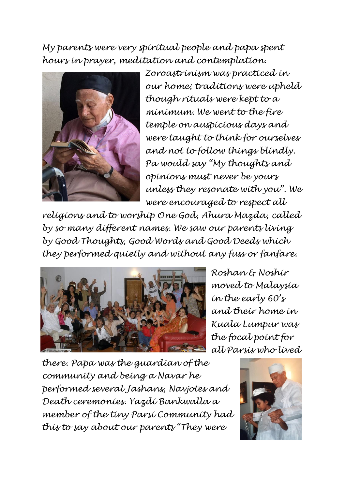*My parents were very spiritual people and papa spent hours in prayer, meditation and contemplation.* 



*Zoroastrinism was practiced in our home; traditions were upheld though rituals were kept to a minimum. We went to the fire temple on auspicious days and were taught to think for ourselves and not to follow things blindly. Pa would say "My thoughts and opinions must never be yours unless they resonate with you". We were encouraged to respect all* 

*religions and to worship One God, Ahura Mazda, called by so many different names. We saw our parents living by Good Thoughts, Good Words and Good Deeds which they performed quietly and without any fuss or fanfare.*



*Roshan & Noshir moved to Malaysia in the early 60"s and their home in Kuala Lumpur was the focal point for all Parsis who lived*

*there. Papa was the guardian of the community and being a Navar he performed several Jashans, Navjotes and Death ceremonies. Yazdi Bankwalla a member of the tiny Parsi Community had this to say about our parents "They were* 

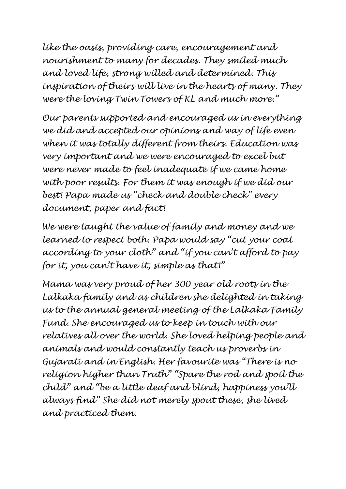*like the oasis, providing care, encouragement and nourishment to many for decades. They smiled much and loved life, strong willed and determined. This inspiration of theirs will live in the hearts of many. They were the loving Twin Towers of KL and much more."*

*Our parents supported and encouraged us in everything we did and accepted our opinions and way of life even when it was totally different from theirs. Education was very important and we were encouraged to excel but were never made to feel inadequate if we came home with poor results. For them it was enough if we did our best! Papa made us "check and double check" every document, paper and fact!* 

*We were taught the value of family and money and we learned to respect both. Papa would say "cut your coat according to your cloth" and "if you can"t afford to pay for it, you can"t have it, simple as that!"*

*Mama was very proud of her 300 year old roots in the Lalkaka family and as children she delighted in taking us to the annual general meeting of the Lalkaka Family Fund. She encouraged us to keep in touch with our relatives all over the world. She loved helping people and animals and would constantly teach us proverbs in Gujarati and in English. Her favourite was "There is no religion higher than Truth" "Spare the rod and spoil the child" and "be a little deaf and blind, happiness you"ll always find" She did not merely spout these, she lived and practiced them.*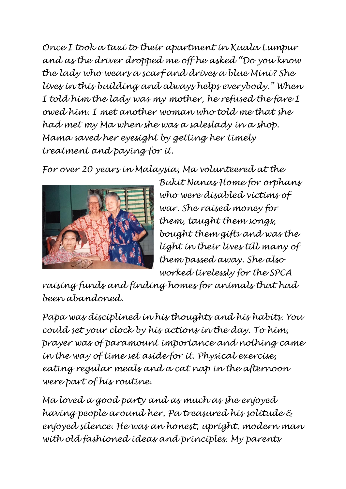*Once I took a taxi to their apartment in Kuala Lumpur and as the driver dropped me off he asked "Do you know the lady who wears a scarf and drives a blue Mini? She lives in this building and always helps everybody." When I told him the lady was my mother, he refused the fare I owed him. I met another woman who told me that she had met my Ma when she was a saleslady in a shop. Mama saved her eyesight by getting her timely treatment and paying for it.* 

*For over 20 years in Malaysia, Ma volunteered at the* 



*Bukit Nanas Home for orphans who were disabled victims of war. She raised money for them, taught them songs, bought them gifts and was the light in their lives till many of them passed away. She also worked tirelessly for the SPCA* 

*raising funds and finding homes for animals that had been abandoned.*

*Papa was disciplined in his thoughts and his habits. You could set your clock by his actions in the day. To him, prayer was of paramount importance and nothing came in the way of time set aside for it. Physical exercise, eating regular meals and a cat nap in the afternoon were part of his routine.*

*Ma loved a good party and as much as she enjoyed having people around her, Pa treasured his solitude & enjoyed silence. He was an honest, upright, modern man with old fashioned ideas and principles. My parents*